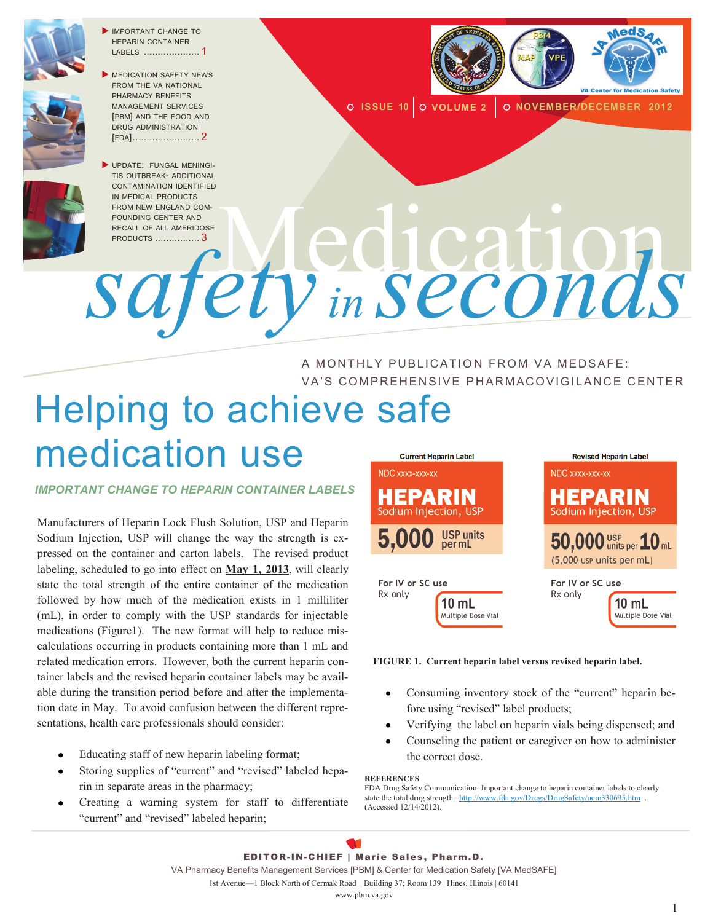

 IMPORTANT CHANGE TO HEPARIN CONTAINER LABELS .................... 1



UPDATE: FUNGAL MENINGI-TIS OUTBREAK- ADDITIONAL CONTAMINATION IDENTIFIED IN MEDICAL PRODUCTS FROM NEW ENGLAND COM-POUNDING CENTER AND RECALL OF ALL AMERIDOSE PRODUCTS ................ <sup>3</sup>Medication *safety in seconds*



**O ISSUE 10 0 VOLUME 2 0 NOVEMBER/DECEMBER 2012** 

A MONTHLY PUBLICATION FROM VA MEDSAFE: VA'S COMPREHENSIVE PHARMACOVIGILANCE CENTER

## Helping to achieve safe medication use NDC xxxx-xxx-xx

#### *IMPORTANT CHANGE TO HEPARIN CONTAINER LABELS*

Manufacturers of Heparin Lock Flush Solution, USP and Heparin Sodium Injection, USP will change the way the strength is expressed on the container and carton labels. The revised product labeling, scheduled to go into effect on **May 1, 2013**, will clearly state the total strength of the entire container of the medication followed by how much of the medication exists in 1 milliliter (mL), in order to comply with the USP standards for injectable medications (Figure1). The new format will help to reduce miscalculations occurring in products containing more than 1 mL and related medication errors. However, both the current heparin container labels and the revised heparin container labels may be available during the transition period before and after the implementation date in May. To avoid confusion between the different representations, health care professionals should consider:

- Educating staff of new heparin labeling format;
- Storing supplies of "current" and "revised" labeled heparin in separate areas in the pharmacy;
- Creating a warning system for staff to differentiate "current" and "revised" labeled heparin;



#### **FIGURE 1. Current heparin label versus revised heparin label.**

- Consuming inventory stock of the "current" heparin be- $\bullet$ fore using "revised" label products;
- Verifying the label on heparin vials being dispensed; and
- Counseling the patient or caregiver on how to administer the correct dose.

#### **REFERENCES**

FDA Drug Safety Communication: Important change to heparin container labels to clearly state the total drug strength. http://www.fda.gov/Drugs/DrugSafety/ucm330695.htm (Accessed 12/14/2012).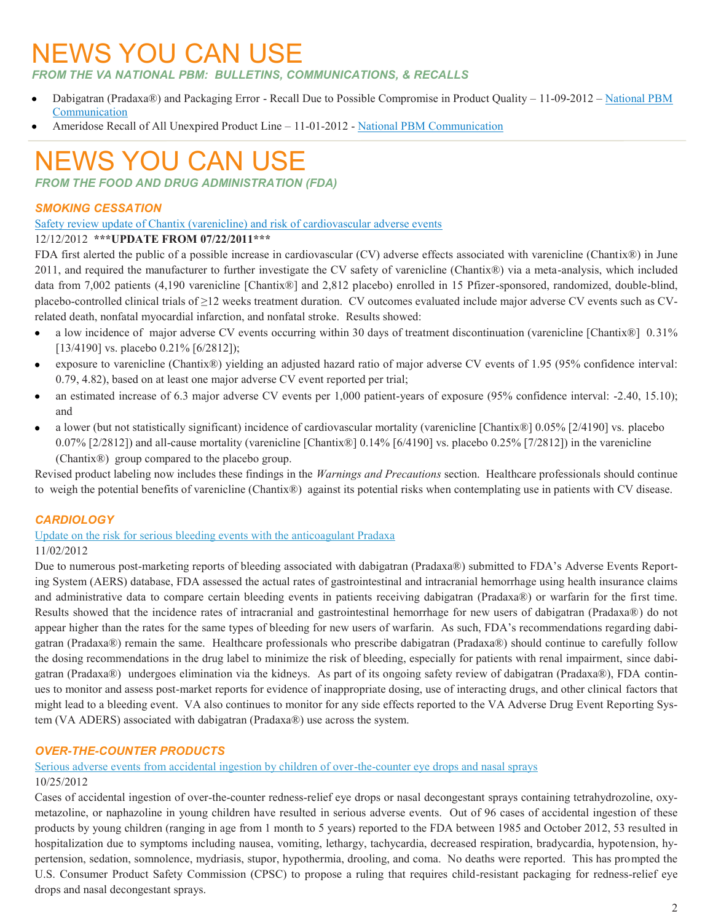# NEWS YOU CAN USE

*FROM THE VA NATIONAL PBM: BULLETINS, COMMUNICATIONS, & RECALLS* 

- Dabigatran (Pradaxa®) and Packaging Error Recall Due to Possible Compromise in Product Quality 11-09-2012 [National PBM](http://www.pbm.va.gov/vamedsafe/nationalpbmcommunication/DabigatranPackagingErrorRecall110912.pdf)  [Communication](http://www.pbm.va.gov/vamedsafe/nationalpbmcommunication/DabigatranPackagingErrorRecall110912.pdf)
- Ameridose Recall of All Unexpired Product Line 11-01-2012 [National PBM Communication](http://www.pbm.va.gov/vamedsafe/nationalpbmcommunication/AmeridoseRecallofAllUnexpiredProductLine.pdf)

# NEWS YOU CAN USE

*FROM THE FOOD AND DRUG ADMINISTRATION (FDA)*

## *SMOKING CESSATION*

#### [Safety review update of Chantix \(varenicline\) and risk of cardiovascular adverse events](http://www.fda.gov/Drugs/DrugSafety/ucm330367.htm)

#### 12/12/2012 **\*\*\*UPDATE FROM 07/22/2011\*\*\***

FDA first alerted the public of a possible increase in cardiovascular (CV) adverse effects associated with varenicline (Chantix®) in June 2011, and required the manufacturer to further investigate the CV safety of varenicline (Chantix®) via a meta-analysis, which included data from 7,002 patients (4,190 varenicline [Chantix®] and 2,812 placebo) enrolled in 15 Pfizer-sponsored, randomized, double-blind, placebo-controlled clinical trials of ≥12 weeks treatment duration. CV outcomes evaluated include major adverse CV events such as CVrelated death, nonfatal myocardial infarction, and nonfatal stroke. Results showed:

- a low incidence of major adverse CV events occurring within 30 days of treatment discontinuation (varenicline [Chantix®] 0.31% [13/4190] vs. placebo 0.21% [6/2812]);
- exposure to varenicline (Chantix®) yielding an adjusted hazard ratio of major adverse CV events of 1.95 (95% confidence interval: 0.79, 4.82), based on at least one major adverse CV event reported per trial;
- an estimated increase of 6.3 major adverse CV events per 1,000 patient-years of exposure (95% confidence interval: -2.40, 15.10); and
- a lower (but not statistically significant) incidence of cardiovascular mortality (varenicline [Chantix®] 0.05% [2/4190] vs. placebo 0.07% [2/2812]) and all-cause mortality (varenicline [Chantix®] 0.14% [6/4190] vs. placebo 0.25% [7/2812]) in the varenicline (Chantix®) group compared to the placebo group.

Revised product labeling now includes these findings in the *Warnings and Precautions* section. Healthcare professionals should continue to weigh the potential benefits of varenicline (Chantix®) against its potential risks when contemplating use in patients with CV disease.

### *CARDIOLOGY*

[Update on the risk for serious bleeding events with the anticoagulant Pradaxa](http://www.fda.gov/Drugs/DrugSafety/ucm326580.htm)

### 11/02/2012

Due to numerous post-marketing reports of bleeding associated with dabigatran (Pradaxa®) submitted to FDA's Adverse Events Reporting System (AERS) database, FDA assessed the actual rates of gastrointestinal and intracranial hemorrhage using health insurance claims and administrative data to compare certain bleeding events in patients receiving dabigatran (Pradaxa®) or warfarin for the first time. Results showed that the incidence rates of intracranial and gastrointestinal hemorrhage for new users of dabigatran (Pradaxa®) do not appear higher than the rates for the same types of bleeding for new users of warfarin. As such, FDA's recommendations regarding dabigatran (Pradaxa®) remain the same. Healthcare professionals who prescribe dabigatran (Pradaxa®) should continue to carefully follow the dosing recommendations in the drug label to minimize the risk of bleeding, especially for patients with renal impairment, since dabigatran (Pradaxa®) undergoes elimination via the kidneys. As part of its ongoing safety review of dabigatran (Pradaxa®), FDA continues to monitor and assess post-market reports for evidence of inappropriate dosing, use of interacting drugs, and other clinical factors that might lead to a bleeding event. VA also continues to monitor for any side effects reported to the VA Adverse Drug Event Reporting System (VA ADERS) associated with dabigatran (Pradaxa®) use across the system.

### *OVER-THE-COUNTER PRODUCTS*

[Serious adverse events from accidental ingestion by children of over-the-counter eye drops and nasal sprays](http://www.fda.gov/Drugs/DrugSafety/ucm325257.htm)

### 10/25/2012

Cases of accidental ingestion of over-the-counter redness-relief eye drops or nasal decongestant sprays containing tetrahydrozoline, oxymetazoline, or naphazoline in young children have resulted in serious adverse events. Out of 96 cases of accidental ingestion of these products by young children (ranging in age from 1 month to 5 years) reported to the FDA between 1985 and October 2012, 53 resulted in hospitalization due to symptoms including nausea, vomiting, lethargy, tachycardia, decreased respiration, bradycardia, hypotension, hypertension, sedation, somnolence, mydriasis, stupor, hypothermia, drooling, and coma. No deaths were reported. This has prompted the U.S. Consumer Product Safety Commission (CPSC) to propose a ruling that requires child-resistant packaging for redness-relief eye drops and nasal decongestant sprays.